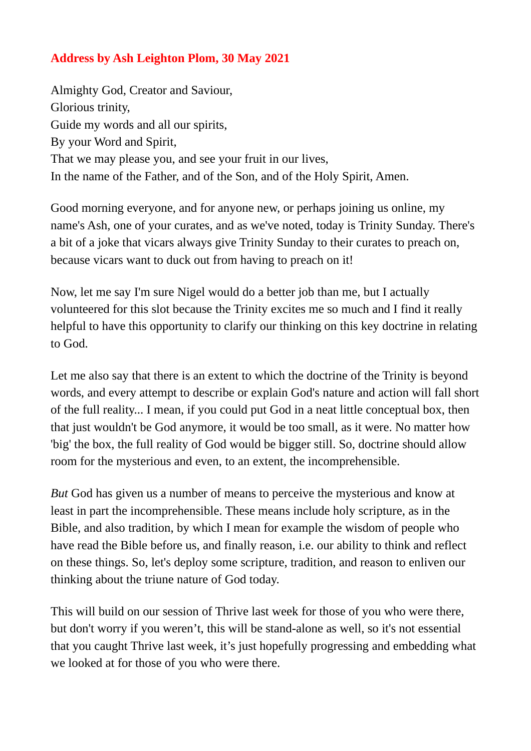## **Address by Ash Leighton Plom, 30 May 2021**

Almighty God, Creator and Saviour, Glorious trinity, Guide my words and all our spirits, By your Word and Spirit, That we may please you, and see your fruit in our lives, In the name of the Father, and of the Son, and of the Holy Spirit, Amen.

Good morning everyone, and for anyone new, or perhaps joining us online, my name's Ash, one of your curates, and as we've noted, today is Trinity Sunday. There's a bit of a joke that vicars always give Trinity Sunday to their curates to preach on, because vicars want to duck out from having to preach on it!

Now, let me say I'm sure Nigel would do a better job than me, but I actually volunteered for this slot because the Trinity excites me so much and I find it really helpful to have this opportunity to clarify our thinking on this key doctrine in relating to God.

Let me also say that there is an extent to which the doctrine of the Trinity is beyond words, and every attempt to describe or explain God's nature and action will fall short of the full reality... I mean, if you could put God in a neat little conceptual box, then that just wouldn't be God anymore, it would be too small, as it were. No matter how 'big' the box, the full reality of God would be bigger still. So, doctrine should allow room for the mysterious and even, to an extent, the incomprehensible.

*But* God has given us a number of means to perceive the mysterious and know at least in part the incomprehensible. These means include holy scripture, as in the Bible, and also tradition, by which I mean for example the wisdom of people who have read the Bible before us, and finally reason, i.e. our ability to think and reflect on these things. So, let's deploy some scripture, tradition, and reason to enliven our thinking about the triune nature of God today.

This will build on our session of Thrive last week for those of you who were there, but don't worry if you weren't, this will be stand-alone as well, so it's not essential that you caught Thrive last week, it's just hopefully progressing and embedding what we looked at for those of you who were there.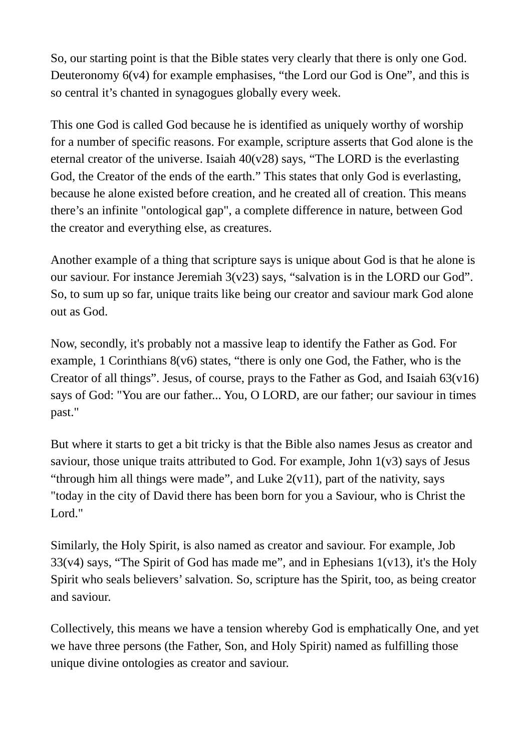So, our starting point is that the Bible states very clearly that there is only one God. Deuteronomy 6(v4) for example emphasises, "the Lord our God is One", and this is so central it's chanted in synagogues globally every week.

This one God is called God because he is identified as uniquely worthy of worship for a number of specific reasons. For example, scripture asserts that God alone is the eternal creator of the universe. Isaiah  $40(v28)$  says, "The LORD is the everlasting God, the Creator of the ends of the earth." This states that only God is everlasting, because he alone existed before creation, and he created all of creation. This means there's an infinite "ontological gap", a complete difference in nature, between God the creator and everything else, as creatures.

Another example of a thing that scripture says is unique about God is that he alone is our saviour. For instance Jeremiah 3(v23) says, "salvation is in the LORD our God". So, to sum up so far, unique traits like being our creator and saviour mark God alone out as God.

Now, secondly, it's probably not a massive leap to identify the Father as God. For example, 1 Corinthians 8(v6) states, "there is only one God, the Father, who is the Creator of all things". Jesus, of course, prays to the Father as God, and Isaiah  $63(v16)$ says of God: "You are our father... You, O LORD, are our father; our saviour in times past."

But where it starts to get a bit tricky is that the Bible also names Jesus as creator and saviour, those unique traits attributed to God. For example, John  $1(v3)$  says of Jesus "through him all things were made", and Luke  $2(v11)$ , part of the nativity, says "today in the city of David there has been born for you a Saviour, who is Christ the Lord."

Similarly, the Holy Spirit, is also named as creator and saviour. For example, Job 33( $v$ 4) says, "The Spirit of God has made me", and in Ephesians 1( $v$ 13), it's the Holy Spirit who seals believers' salvation. So, scripture has the Spirit, too, as being creator and saviour.

Collectively, this means we have a tension whereby God is emphatically One, and yet we have three persons (the Father, Son, and Holy Spirit) named as fulfilling those unique divine ontologies as creator and saviour.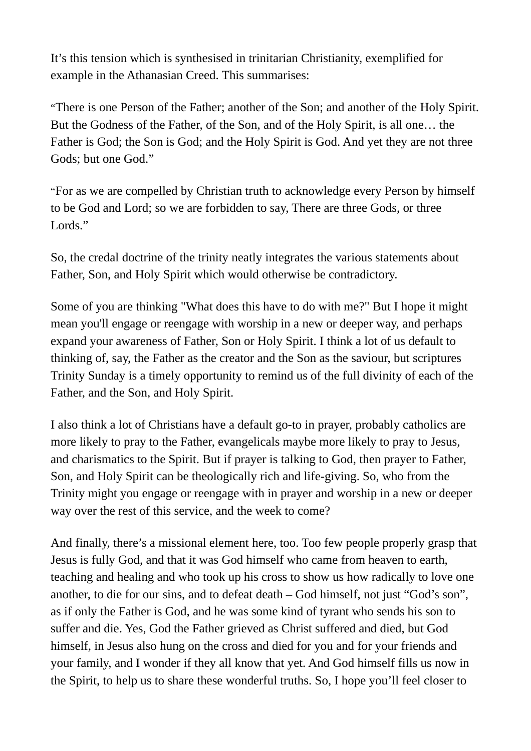It's this tension which is synthesised in trinitarian Christianity, exemplified for example in the Athanasian Creed. This summarises:

"There is one Person of the Father; another of the Son; and another of the Holy Spirit. But the Godness of the Father, of the Son, and of the Holy Spirit, is all one… the Father is God; the Son is God; and the Holy Spirit is God. And yet they are not three Gods; but one God."

"For as we are compelled by Christian truth to acknowledge every Person by himself to be God and Lord; so we are forbidden to say, There are three Gods, or three Lords."

So, the credal doctrine of the trinity neatly integrates the various statements about Father, Son, and Holy Spirit which would otherwise be contradictory.

Some of you are thinking "What does this have to do with me?" But I hope it might mean you'll engage or reengage with worship in a new or deeper way, and perhaps expand your awareness of Father, Son or Holy Spirit. I think a lot of us default to thinking of, say, the Father as the creator and the Son as the saviour, but scriptures Trinity Sunday is a timely opportunity to remind us of the full divinity of each of the Father, and the Son, and Holy Spirit.

I also think a lot of Christians have a default go-to in prayer, probably catholics are more likely to pray to the Father, evangelicals maybe more likely to pray to Jesus, and charismatics to the Spirit. But if prayer is talking to God, then prayer to Father, Son, and Holy Spirit can be theologically rich and life-giving. So, who from the Trinity might you engage or reengage with in prayer and worship in a new or deeper way over the rest of this service, and the week to come?

And finally, there's a missional element here, too. Too few people properly grasp that Jesus is fully God, and that it was God himself who came from heaven to earth, teaching and healing and who took up his cross to show us how radically to love one another, to die for our sins, and to defeat death – God himself, not just "God's son", as if only the Father is God, and he was some kind of tyrant who sends his son to suffer and die. Yes, God the Father grieved as Christ suffered and died, but God himself, in Jesus also hung on the cross and died for you and for your friends and your family, and I wonder if they all know that yet. And God himself fills us now in the Spirit, to help us to share these wonderful truths. So, I hope you'll feel closer to